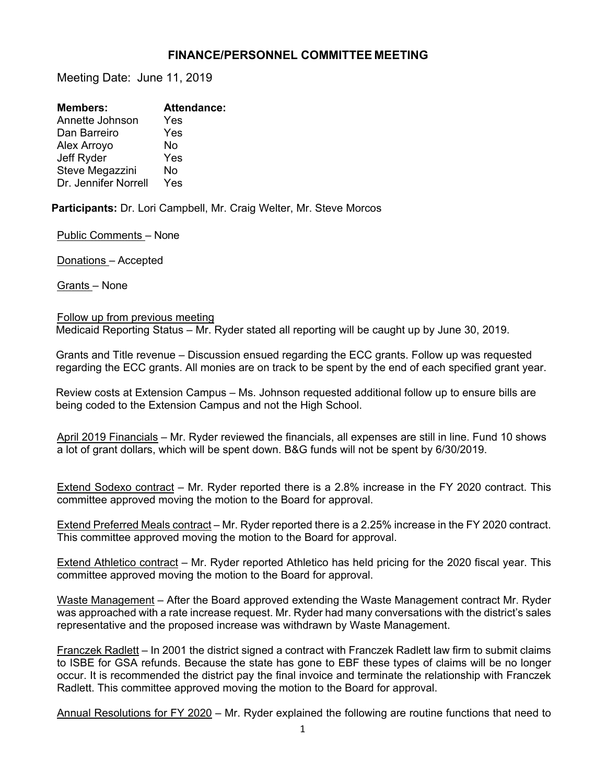## **FINANCE/PERSONNEL COMMITTEE MEETING**

Meeting Date: June 11, 2019

| <b>Members:</b>      | <b>Attendance:</b> |
|----------------------|--------------------|
| Annette Johnson      | Yes                |
| Dan Barreiro         | Yes                |
| Alex Arroyo          | No                 |
| Jeff Ryder           | Yes                |
| Steve Megazzini      | No                 |
| Dr. Jennifer Norrell | Yes                |

**Participants:** Dr. Lori Campbell, Mr. Craig Welter, Mr. Steve Morcos

Public Comments – None

Donations – Accepted

Grants – None

Follow up from previous meeting Medicaid Reporting Status – Mr. Ryder stated all reporting will be caught up by June 30, 2019.

Grants and Title revenue – Discussion ensued regarding the ECC grants. Follow up was requested regarding the ECC grants. All monies are on track to be spent by the end of each specified grant year.

Review costs at Extension Campus – Ms. Johnson requested additional follow up to ensure bills are being coded to the Extension Campus and not the High School.

April 2019 Financials – Mr. Ryder reviewed the financials, all expenses are still in line. Fund 10 shows a lot of grant dollars, which will be spent down. B&G funds will not be spent by 6/30/2019.

Extend Sodexo contract – Mr. Ryder reported there is a 2.8% increase in the FY 2020 contract. This committee approved moving the motion to the Board for approval.

Extend Preferred Meals contract – Mr. Ryder reported there is a 2.25% increase in the FY 2020 contract. This committee approved moving the motion to the Board for approval.

Extend Athletico contract – Mr. Ryder reported Athletico has held pricing for the 2020 fiscal year. This committee approved moving the motion to the Board for approval.

Waste Management – After the Board approved extending the Waste Management contract Mr. Ryder was approached with a rate increase request. Mr. Ryder had many conversations with the district's sales representative and the proposed increase was withdrawn by Waste Management.

Franczek Radlett – In 2001 the district signed a contract with Franczek Radlett law firm to submit claims to ISBE for GSA refunds. Because the state has gone to EBF these types of claims will be no longer occur. It is recommended the district pay the final invoice and terminate the relationship with Franczek Radlett. This committee approved moving the motion to the Board for approval.

Annual Resolutions for FY 2020 – Mr. Ryder explained the following are routine functions that need to